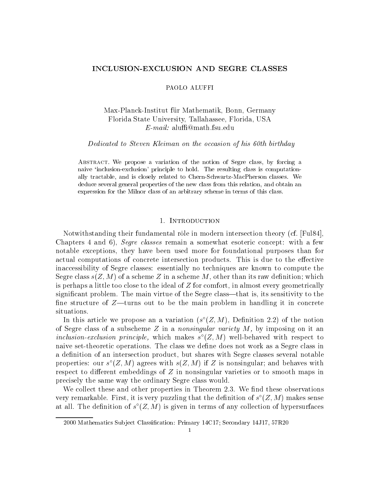# INCLUSION-EXCLUSION AND SEGRE CLASSES

### PAOLO ALUFFI

# Max-Planck-Institut für Mathematik, Bonn, Germany Florida State University, Tallahassee, Florida, USA E-mail: alu@math.fsu.edu

#### Dedicated to Steven Kleiman on the occasion of his 60th birthday

Abstract. We propose a variation of the notion of Segre class, by forcing a naive 'inclusion-exclusion' principle to hold. The resulting class is computationally tractable, and is closely related to Chern-Schwartz-MacPherson classes. We deduce several general properties of the new class from this relation, and obtain an expression for the Milnor class of an arbitrary scheme in terms of this class.

## 1. INTRODUCTION

Notwithstanding their fundamental rôle in modern intersection theory (cf. [Ful84], Chapters 4 and 6), Segre classes remain a somewhat esoteric concept: with a few notable exceptions, they have been used more for foundational purposes than for actual computations of concrete intersection products. This is due to the effective inaccessibility of Segre classes: essentially no techniques are known to compute the Segre class  $s(Z, M)$  of a scheme Z in a scheme M, other than its raw definition; which is perhaps a little too close to the ideal of  $Z$  for comfort, in almost every geometrically significant problem. The main virtue of the Segre class—that is, its sensitivity to the fine structure of  $Z$ —turns out to be the main problem in handling it in concrete situations.

In this article we propose an a variation ( $s$  ( $\angle$ ,  $M$ ), Definition 2.2) of the notion of Segre class of a subscheme Z in a *nonsingular variety*  $M$ , by imposing on it an  $\it intusion-excusion\ parturepe,$  which makes  $s$  ( $Z,M$ ) well-behaved with respect to naive set-theoretic operations. The class we define does not work as a Segre class in a definition of an intersection product, but shares with Segre classes several notable properties: our  $s$  ( $\angle$ ,  $M$ ) agrees with  $s(\angle, M)$  if  $\angle$  is nonsingular; and behaves with respect to different embeddings of  $Z$  in nonsingular varieties or to smooth maps in precisely the same way the ordinary Segre class would.

We collect these and other properties in Theorem 2.3. We find these observations very remarkable. First, it is very puzzling that the definition of  $s$  ( $\bar{z}$ ,  $\bar{m}$ ) makes sense at all. The definition of  $s$  (Z, M) is given in terms of any collection of hypersurfaces  $\,$ 

<sup>2000</sup> Mathematics Subject Classification: Primary 14C17; Secondary 14J17, 57R20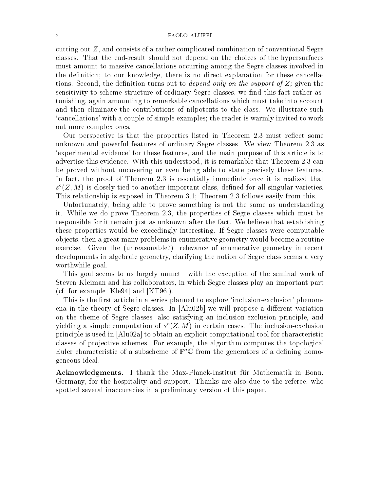#### 2 PAOLO ALUFFI

cutting out Z, and consists of a rather complicated combination of conventional Segre classes. That the end-result should not depend on the choices of the hypersurfaces must amount to massive cancellations occurring among the Segre classes involved in the definition; to our knowledge, there is no direct explanation for these cancellations. Second, the definition turns out to *depend only on the support of*  $Z$ ; given the sensitivity to scheme structure of ordinary Segre classes, we find this fact rather astonishing, again amounting to remarkable cancellations which must take into account and then eliminate the contributions of nilpotents to the class. We illustrate such `cancellations' with a couple of simple examples; the reader is warmly invited to work out more complex ones.

Our perspective is that the properties listed in Theorem 2.3 must reflect some unknown and powerful features of ordinary Segre classes. We view Theorem 2.3 as `experimental evidence' for these features, and the main purpose of this article is to advertise this evidence. With this understood, it is remarkable that Theorem 2.3 can be proved without uncovering or even being able to state precisely these features. In fact, the proof of Theorem 2.3 is essentially immediate once it is realized that  $s$  ( $\rm Z$ ,  $\rm M$  ) is closely tied to another important class, defined for all singular varieties. This relationship is exposed in Theorem 3.1; Theorem 2.3 follows easily from this.

Unfortunately, being able to prove something is not the same as understanding it. While we do prove Theorem 2.3, the properties of Segre classes which must be responsible for it remain just as unknown after the fact. We believe that establishing these properties would be exceedingly interesting. If Segre classes were computable ob jects, then a great many problems in enumerative geometry would become a routine exercise. Given the (unreasonable?) relevance of enumerative geometry in recent developments in algebraic geometry, clarifying the notion of Segre class seems a very worthwhile goal.

This goal seems to us largely unmet—with the exception of the seminal work of Steven Kleiman and his collaborators, in which Segre classes play an important part (cf. for example [Kle94] and [KT96]).

This is the first article in a series planned to explore 'inclusion-exclusion' phenomena in the theory of Segre classes. In  $[A]u02b]$  we will propose a different variation on the theme of Segre classes, also satisfying an inclusion-exclusion principle, and yielding a simple computation of  $s$  ( $\angle$ ,  $M$ ) in certain cases. The inclusion-exclusion principle is used in [Alu02a] to obtain an explicit computational tool for characteristic classes of projective schemes. For example, the algorithm computes the topological Euler characteristic of a subscheme of  $\mathbb{P}^n\mathbb{C}$  from the generators of a defining homogeneous ideal.

Acknowledgments. I thank the Max-Planck-Institut für Mathematik in Bonn, Germany, for the hospitality and support. Thanks are also due to the referee, who spotted several inaccuracies in a preliminary version of this paper.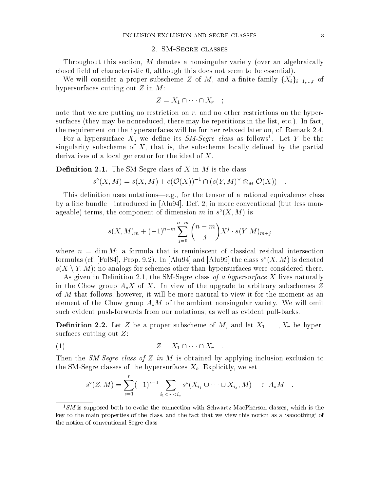### 2. SM-Segre classes

Throughout this section, M denotes a nonsingular variety (over an algebraically closed field of characteristic  $0$ , although this does not seem to be essential).

We will consider a proper subscheme Z of M, and a finite family  $\{X_i\}_{i=1,\dots,r}$  of hypersurfaces cutting out  $Z$  in  $M$ :

$$
Z = X_1 \cap \cdots \cap X_r \quad ;
$$

note that we are putting no restriction on  $r$ , and no other restrictions on the hypersurfaces (they may be nonreduced, there may be repetitions in the list, etc.). In fact, the requirement on the hypersurfaces will be further relaxed later on, cf. Remark 2.4.

For a hypersurface  $\Lambda$ , we define its  $\beta M$ - $\beta e q r e$  class as follows . Let  $Y$  be the singularity subscheme of  $X$ , that is, the subscheme locally defined by the partial derivatives of a local generator for the ideal of X.

**Definition 2.1.** The SM-Segre class of X in M is the class

$$
s^{\circ}(X, M) = s(X, M) + c(\mathcal{O}(X))^{-1} \cap (s(Y, M)^{\vee} \otimes_M \mathcal{O}(X)) \quad .
$$

This definition uses notations—e.g., for the tensor of a rational equivalence class by a line bundle—introduced in  $[Alu94]$ , Def. 2; in more conventional (but less manageable) terms, the component of dimension  $m$  in  $s$  ( $\Lambda$ ,  $M$ ) is

$$
s(X, M)m + (-1)n-m \sum_{j=0}^{n-m} {n-m \choose j} X^j \cdot s(Y, M)m+j
$$

where  $n = \dim M$ ; a formula that is reminiscent of classical residual intersection formulas (cf. [Ful84], Prop. 9.2). In [Alu94] and [Alu99] the class  $s_-(A,M)$  is denoted s(X n Y;M); no analogs for schemes other than hypersurfaces were considered there.

As given in Definition 2.1, the SM-Segre class of a hypersurface X lives naturally in the Chow group  $A_{*}X$  of X. In view of the upgrade to arbitrary subschemes Z of M that follows, however, it will be more natural to view it for the moment as an element of the Chow group  $A_{*}M$  of the ambient nonsingular variety. We will omit such evident push-forwards from our notations, as well as evident pull-backs.

**Definition 2.2.** Let Z be a proper subscheme of M, and let  $X_1, \ldots, X_r$  be hypersurfaces cutting out Z:

$$
(1) \t\t Z = X_1 \cap \cdots \cap X_r .
$$

Then the SM-Segre class of Z in M is obtained by applying inclusion-exclusion to the SM-Segre classes of the hypersurfaces  $X_i$ . Explicitly, we set

$$
s^{\circ}(Z,M) = \sum_{s=1}^{r} (-1)^{s-1} \sum_{i_1 < \dots < i_s} s^{\circ}(X_{i_1} \cup \dots \cup X_{i_s},M) \in A_*M.
$$

 $1<sup>1</sup>SM$  is supposed both to evoke the connection with Schwartz-MacPherson classes, which is the key to the main properties of the class, and the fact that we view this notion as a 'smoothing' of the notion of conventional Segre class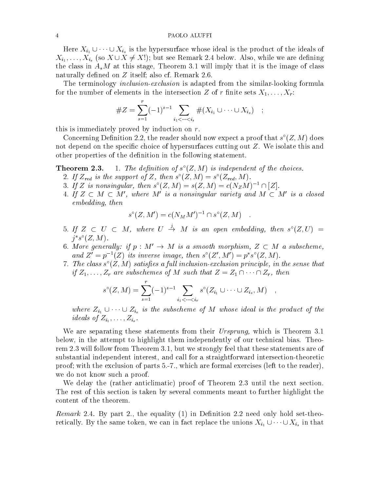#### 4 PAOLO ALUFFI

 $\ell_1$  is the hypersurface whose ideal is the ideal is the ideal is the ideal is the ideal is the ideal is the ideal is the ideal is the ideal is the ideal is the ideal is the ideal is the ideal is the ideal is the ideal  $\begin{array}{ccc} \textit{i} & \textit{j} & \textit{i} & \textit{k} \textit{s} & \textit{k} \ \textit{i} & \textit{k} & \textit{k} & \textit{k} \ \textit{i} & \textit{k} & \textit{k} & \textit{k} \ \textit{i} & \textit{k} & \textit{k} & \textit{k} \ \textit{i} & \textit{k} & \textit{k} & \textit{k} \ \textit{i} & \textit{k} & \textit{k} & \textit{k} \ \textit{i} & \textit{k} & \textit{k} & \textit{k} \ \textit{i} & \textit{k} & \textit{k} & \textit{k} \ \textit{i} & \textit{k$ the class in  $A_{\ast}M$  at this stage, Theorem 3.1 will imply that it is the image of class naturally defined on  $Z$  itself; also cf. Remark 2.6.

The terminology *inclusion-exclusion* is adapted from the similar-looking formula for the number of elements in the intersection Z of r finite sets  $X_1, \ldots, X_r$ :

#Z = Xr (1)s1 <sup>X</sup> i1<<is #(Xi1 [ [ Xis ) ;

this is immediately proved by induction on  $r$ .

Concerning Definition 2.2, the reader should now expect a proof that  $s$  ( $Z, M$ ) does not depend on the specific choice of hypersurfaces cutting out  $Z$ . We isolate this and other properties of the definition in the following statement.

**Theorem 2.3.** 1. The definition of  $S$  ( $Z$ ,  $M$ ) is independent of the choices.

- 2. If  $\mathcal{L}_{red}$  is the support of  $\mathcal{L}$ , then s  $(\mathcal{L}, M) \equiv s \ (\mathcal{L}_{red}, M)$ .
- 3. If  $\Delta$  is nonsingular, then  $s(\mathcal{Z},M) \equiv s(\mathcal{Z},M) \equiv c(\mathcal{N}_{Z}M)^{-1} \sqcup |\mathcal{Z}|.$
- 4. If  $Z\, \subset\, M\, \subset\, M$  , where  $M$  is a nonsingular variety and  $M\, \subset\, M\,$  is a closed embedding, theory

$$
s^{\circ}(Z, M') = c(N_M M')^{-1} \cap s^{\circ}(Z, M) .
$$

- 5. If  $Z \subset U \subset M$ , where  $U \rightarrow M$  is an open embedding, then  $s^{\circ}(Z,U) =$  $\eta$  s  $(Z, M)$ .
- $6.$  More generative if  $p$  : M  $\rightarrow$  M is a smooth morphism,  $Z \, \subset\, M$  a subscheme, and  $\Delta = p^{-1}(Z)$  its inverse image, then s  $(Z, M) = p$  s  $(Z, M)$ .
- $\tau$ . The class  $s$  ( $Z$ ,  $M$ ) satisfies a full inclusion-exclusion principle, in the sense that  $i,j = 1; \ldots; 2n$  are subscribing of M such that  $\sum_{i=1}^{n} a_i$  , then

$$
s^{\circ}(Z,M) = \sum_{s=1}^{r} (-1)^{s-1} \sum_{i_1 < \dots < i_s} s^{\circ}(Z_{i_1} \cup \dots \cup Z_{i_s},M) ,
$$

where  $Z_{i1}$  is  $Z_{i1}$  is the substitution of  $Y_{i2}$  is the matrix of the product of the product of the product of the product of the product of the product of the product of the product of the product of the product o :::::: $\, -j\, -i_1\, ,\, \ldots\, ;\, -i_s\, .$ 

We are separating these statements from their Ursprung, which is Theorem 3.1 below, in the attempt to highlight them independently of our technical bias. Theorem 2.3 will follow from Theorem 3.1, but we strongly feel that these statements are of substantial independent interest, and call for a straightforward intersection-theoretic proof; with the exclusion of parts 5.-7., which are formal exercises (left to the reader), we do not know such a proof.

We delay the (rather anticlimatic) proof of Theorem 2.3 until the next section. The rest of this section is taken by several comments meant to further highlight the content of the theorem.

Remark 2.4. By part 2., the equality (1) in Denition 2.2 need only hold set-theoretically. By the same token, we can in fact replace the unions  $\mathbf{r}$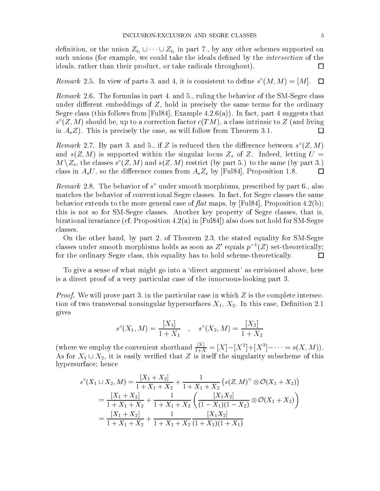denote unit  $\iota_1$  =  $\iota_3$  in part 7., by any other supported on  $\iota_1$  in the schemes supported on  $\iota_2$ such unions (for example, we could take the ideals defined by the *intersection* of the ideals, rather than their product, or take radicals throughout).  $\Box$ 

## Remark 2.5. In view of parts 5, and 4, it is consistent to define  $s_+(M,M)=|M|$ .  $\square$

Remark 2.6. The formulas in part 4. and 5., ruling the behavior of the SM-Segre class under different embeddings of  $Z$ , hold in precisely the same terms for the ordinary Segre class (this follows from [Ful84], Example  $4.2.6(a)$ ). In fact, part 4 suggests that  $s$  (Z, M) should be, up to a correction factor  $c(T \, M)$ , a class intrinsic to Z (and living in  $A_*Z$ ). This is precisely the case, as will follow from Theorem 3.1.  $\Box$ 

Remark 2.1. By part 5, and 5, if Z is reduced then the difference between  $s(\textbf{Z},M)$ and  $s(Z, M)$  is supported within the singular locus  $Z_s$  of Z. Indeed, letting  $U =$  $M \setminus Z_s$ , the classes  $s \setminus Z, M$  ) and  $s(Z, M)$  restrict (by part 5.) to the same (by part 5.) class in  $A_*U$ , so the difference comes from  $A_*Z_s$  by [Ful84], Proposition 1.8.  $\Box$ 

 $\bm{Remark}$  2.8. The behavior of studied smooth morphisms, prescribed by part 0., also matches the behavior of conventional Segre classes. In fact, for Segre classes the same behavior extends to the more general case of  $flat$  maps, by [Ful84], Proposition 4.2(b); this is not so for SM-Segre classes. Another key property of Segre classes, that is, birational invariance (cf. Proposition 4.2(a) in [Ful84]) also does not hold for SM-Segre classes.

On the other hand, by part 2. of Theorem 2.3, the stated equality for SM-Segre classes under smooth morphisms holds as soon as Z' equals  $p^{-1}(Z)$  set-theoretically; for the ordinary Segre class, this equality has to hold scheme-theoretically.  $\Box$ 

To give a sense of what might go into a 'direct argument' as envisioned above, here is a direct proof of a very particular case of the innocuous-looking part 3.

Proof. We will prove part 3. in the particular case in which Z is the complete intersection of two transversal nonsingular hypersurfaces  $X_1, X_2$ . In this case, Definition 2.1 gives

$$
s^{\circ}(X_1, M) = \frac{[X_1]}{1+X_1} \quad , \quad s^{\circ}(X_2, M) = \frac{[X_2]}{1+X_2}
$$

(where we employ the convenient shorthand  $\frac{1}{1+X} = [X] - [X^2] + [X^3] - \cdots = s(X, M)$ ). As for  $\alpha$   $\alpha$   $\alpha$   $\alpha$  is the singular vertex that  $\alpha$  is the singular subscheme of the singular of this interval hypersurface; hence

$$
s^{\circ}(X_1 \cup X_2, M) = \frac{[X_1 + X_2]}{1 + X_1 + X_2} + \frac{1}{1 + X_1 + X_2} (s(Z, M)^{\vee} \otimes \mathcal{O}(X_1 + X_2))
$$
  
= 
$$
\frac{[X_1 + X_2]}{1 + X_1 + X_2} + \frac{1}{1 + X_1 + X_2} \left( \frac{[X_1 X_2]}{(1 - X_1)(1 - X_2)} \otimes \mathcal{O}(X_1 + X_2) \right)
$$
  
= 
$$
\frac{[X_1 + X_2]}{1 + X_1 + X_2} + \frac{1}{1 + X_1 + X_2} \frac{[X_1 X_2]}{(1 + X_2)(1 + X_1)}
$$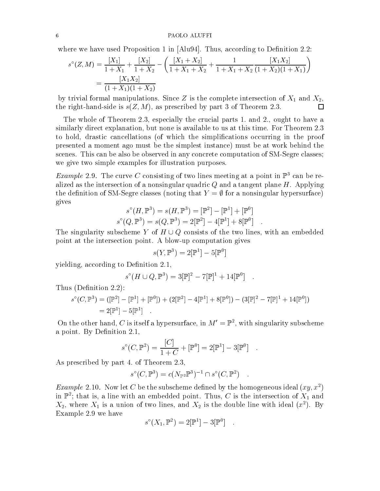where we have used Proposition 1 in  $\text{[Alu94]}$ . Thus, according to Definition 2.2:

$$
s^{\circ}(Z,M) = \frac{[X_1]}{1+X_1} + \frac{[X_2]}{1+X_2} - \left(\frac{[X_1+X_2]}{1+X_1+X_2} + \frac{1}{1+X_1+X_2}\frac{[X_1X_2]}{(1+X_2)(1+X_1)}\right)
$$
  
= 
$$
\frac{[X_1X_2]}{(1+X_1)(1+X_2)}
$$

by trivial formal manipulations. Since Z is the complete intersection of  $X_1$  and  $X_2$ , the right-hand-side is  $s(Z, M)$ , as prescribed by part 3 of Theorem 2.3.  $\Box$ 

The whole of Theorem 2.3, especially the crucial parts 1. and 2., ought to have a similarly direct explanation, but none is available to us at this time. For Theorem 2.3 to hold, drastic cancellations (of which the simplications occurring in the proof presented a moment ago must be the simplest instance) must be at work behind the scenes. This can be also be observed in any concrete computation of SM-Segre classes; we give two simple examples for illustration purposes.

*Example 2.9.* The curve G consisting of two lines meeting at a point in  $\mathbb{F}^2$  can be realized as the intersection of a nonsingular quadric  $Q$  and a tangent plane  $H$ . Applying the definition of SM-Segre classes (noting that  $Y = \emptyset$  for a nonsingular hypersurface) gives

$$
s^{\circ}(H, \mathbb{P}^{3}) = s(H, \mathbb{P}^{3}) = [\mathbb{P}^{2}] - [\mathbb{P}^{1}] + [\mathbb{P}^{0}]
$$
  

$$
s^{\circ}(Q, \mathbb{P}^{3}) = s(Q, \mathbb{P}^{3}) = 2[\mathbb{P}^{2}] - 4[\mathbb{P}^{1}] + 8[\mathbb{P}^{0}] .
$$

The singularity subscription is the two lines, with an embedded  $\mathbf{r}$  and two lines, with an embedded density of the two lines, with an embedded density of the two lines, with an embedded density of the two lines, with point at the intersection point. A blow-up computation gives

$$
s(Y,\mathbb{P}^3) = 2[\mathbb{P}^1] - 5[\mathbb{P}^0]
$$

yielding, according to Definition 2.1,

$$
s^{\circ}(H \cup Q, \mathbb{P}^{3}) = 3[\mathbb{P}]^{2} - 7[\mathbb{P}]^{1} + 14[\mathbb{P}^{0}] .
$$

Thus (Definition  $2.2$ ):

$$
s^{\circ}(C, \mathbb{P}^{3}) = ([\mathbb{P}^{2}] - [\mathbb{P}^{1}] + [\mathbb{P}^{0}]) + (2[\mathbb{P}^{2}] - 4[\mathbb{P}^{1}] + 8[\mathbb{P}^{0}]) - (3[\mathbb{P}]^{2} - 7[\mathbb{P}]^{1} + 14[\mathbb{P}^{0}])
$$
  
= 2[\mathbb{P}^{1}] - 5[\mathbb{P}^{1}] .

On the other hand,  $\bigcirc$  is itself a hypersurface, in  $M^+ = \mathbb{P}^1$ , with singularity subscheme a point. By Definition 2.1,

$$
s^{\circ}(C, \mathbb{P}^2) = \frac{[C]}{1+C} + [\mathbb{P}^0] = 2[\mathbb{P}^1] - 3[\mathbb{P}^0] .
$$

As prescribed by part 4. of Theorem 2.3,

$$
s^{\circ}(C,\mathbb{P}^3) = c(N_{\mathbb{P}^2}\mathbb{P}^3)^{-1} \cap s^{\circ}(C,\mathbb{P}^2) .
$$

*Example 2.*10. Now let  $C$  be the subscheme defined by the homogeneous ideal (xy, x<sup>-</sup>) in F ; that is, a line with an embedded point. Thus, C is the intersection of  $\Lambda_1$  and  $X_2$ , where  $X_1$  is a union of two lines, and  $X_2$  is the double line with ideal  $(x^2)$ . By Example 2.9 we have

$$
s^{\circ}(X_1, \mathbb{P}^2) = 2[\mathbb{P}^1] - 3[\mathbb{P}^0] .
$$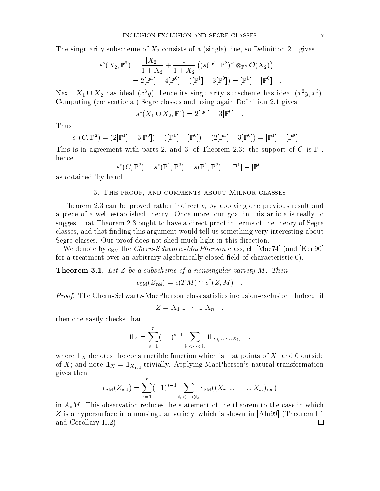The singularity subscheme of  $X_2$  consists of a (single) line, so Definition 2.1 gives

$$
s^{\circ}(X_2, \mathbb{P}^2) = \frac{[X_2]}{1+X_2} + \frac{1}{1+X_2} ((s(\mathbb{P}^1, \mathbb{P}^2)^{\vee} \otimes_{\mathbb{P}^2} \mathcal{O}(X_2))
$$
  
= 2[\mathbb{P}^1] - 4[\mathbb{P}^0] - ([\mathbb{P}^1] - 3[\mathbb{P}^0]) = [\mathbb{P}^1] - [\mathbb{P}^0] .

Next,  $X_1 \cup X_2$  has ideal  $(x^3y)$ , hence its singularity subscheme has ideal  $(x^2y, x^3)$ . Computing (conventional) Segre classes and using again Definition 2.1 gives

$$
s^{\circ}(X_1 \cup X_2, \mathbb{P}^2) = 2[\mathbb{P}^1] - 3[\mathbb{P}^0] .
$$

Thus

$$
s^{\circ}(C, \mathbb{P}^2) = (2[\mathbb{P}^1] - 3[\mathbb{P}^0]) + ([\mathbb{P}^1] - [\mathbb{P}^0]) - (2[\mathbb{P}^1] - 3[\mathbb{P}^0]) = [\mathbb{P}^1] - [\mathbb{P}^0]
$$

This is in agreement with parts 2, and 3, of Theorem 2.3: the support of  $C$  is F<sub>1</sub>, hence

$$
s^{\circ}(C, \mathbb{P}^2) = s^{\circ}(\mathbb{P}^1, \mathbb{P}^2) = s(\mathbb{P}^1, \mathbb{P}^2) = [\mathbb{P}^1] - [\mathbb{P}^0]
$$

as obtained `by hand'.

## 3. The proof, and comments about Milnor classes

Theorem 2.3 can be proved rather indirectly, by applying one previous result and a piece of a well-established theory. Once more, our goal in this article is really to suggest that Theorem 2.3 ought to have a direct proof in terms of the theory of Segre classes, and that finding this argument would tell us something very interesting about Segre classes. Our proof does not shed much light in this direction.

We denote by  $c_{SM}$  the *Chern-Schwartz-MacPherson* class, cf. [Mac74] (and [Ken90] for a treatment over an arbitrary algebraically closed field of characteristic 0).

**Theorem 3.1.** Let  $Z$  be a subscheme of a nonsingular variety  $M$ . Then

$$
c_{\text{SM}}(Z_{\text{red}}) = c(TM) \cap s^{\circ}(Z, M) \quad .
$$

Proof. The Chern-Schwartz-MacPherson class satises inclusion-exclusion. Indeed, if

$$
Z = X_1 \cup \cdots \cup X_n ,
$$

then one easily checks that

$$
1\!\!1_Z = \sum_{s=1}^r (-1)^{s-1} \sum_{i_1 < \cdots < i_s} 1\!\!1_{X_{i_1} \cup \cdots \cup X_{i_s}} ,
$$

where  $1\!\!1_X$  denotes the constructible function which is 1 at points of X, and 0 outside of X; and note  $1\!\!1_X = 1\!\!1_{X_{\rm red}}$  trivially. Applying MacPherson's natural transformation gives then  $\boldsymbol{r}$ 

$$
c_{\rm SM}(Z_{\rm red}) = \sum_{s=1}^r (-1)^{s-1} \sum_{i_1 < \cdots < i_s} c_{\rm SM}((X_{i_1} \cup \cdots \cup X_{i_s})_{\rm red})
$$

in  $A_{*}M$ . This observation reduces the statement of the theorem to the case in which Z is a hypersurface in a nonsingular variety, which is shown in [Alu99] (Theorem I.1 and Corollary II.2). $\Box$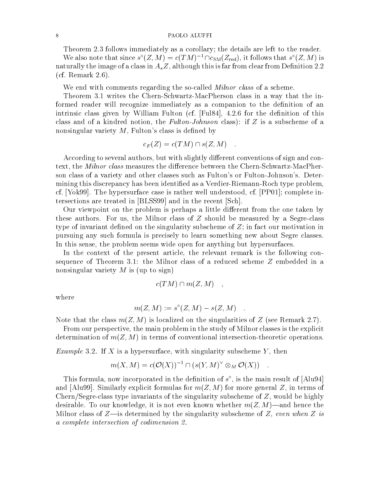#### PAOLO ALUFFI

Theorem 2.3 follows immediately as a corollary; the details are left to the reader.

We also note that since  $s'(Z, M) \equiv c(T/M)$  1  $\log_M(Z_{\text{red}})$ , it follows that  $s'(Z, M)$  is naturally the image of a class in  $A$ <sub>\*</sub> $Z$ , although this is far from clear from Definition 2.2 (cf. Remark 2.6).

We end with comments regarding the so-called *Milnor class* of a scheme.

Theorem 3.1 writes the Chern-Schwartz-MacPherson class in a way that the informed reader will recognize immediately as a companion to the definition of an intrinsic class given by William Fulton (cf.  $[Full84]$ , 4.2.6 for the definition of this class and of a kindred notion, the Fulton-Johnson class): if  $Z$  is a subscheme of a nonsingular variety  $M$ , Fulton's class is defined by

$$
c_F(Z) = c(TM) \cap s(Z, M) .
$$

According to several authors, but with slightly different conventions of sign and context, the *Milnor class* measures the difference between the Chern-Schwartz-MacPherson class of a variety and other classes such as Fulton's or Fulton-Johnson's. Determining this discrepancy has been identied as a Verdier-Riemann-Roch type problem, cf. [Yok99]. The hypersurface case is rather well understood, cf. [PP01]; complete intersections are treated in [BLSS99] and in the recent [Sch].

Our viewpoint on the problem is perhaps a little different from the one taken by these authors. For us, the Milnor class of  $Z$  should be measured by a Segre-class type of invariant defined on the singularity subscheme of  $Z$ ; in fact our motivation in pursuing any such formula is precisely to learn something new about Segre classes. In this sense, the problem seems wide open for anything but hypersurfaces.

In the context of the present article, the relevant remark is the following consequence of Theorem 3.1: the Milnor class of a reduced scheme Z embedded in a nonsingular variety  $M$  is (up to sign)

$$
c(TM) \cap m(Z, M) \quad ,
$$

where

$$
m(Z, M) := s^{\circ}(Z, M) - s(Z, M) \quad .
$$

Note that the class  $m(Z, M)$  is localized on the singularities of Z (see Remark 2.7).

From our perspective, the main problem in the study of Milnor classes is the explicit determination of  $m(Z, M)$  in terms of conventional intersection-theoretic operations.

 $E$  we write  $y$  is a finite  $x$  is a subscription singularity subscription of  $y$  , then  $Y$ 

$$
m(X, M) = c(\mathcal{O}(X))^{-1} \cap (s(Y, M)^{\vee} \otimes_M \mathcal{O}(X)) \quad .
$$

This formula, now incorporated in the definition of  $s$  , is the main result of  $[A_1]$ ube and [Alu99]. Similarly explicit formulas for  $m(Z, M)$  for more general Z, in terms of Chern/Segre-class type invariants of the singularity subscheme of  $Z$ , would be highly desirable. To our knowledge, it is not even known whether  $m(Z, M)$ —and hence the Milnor class of Z—is determined by the singularity subscheme of Z, even when Z is  $a$  complete intersection of counteriston  $\omega$ .